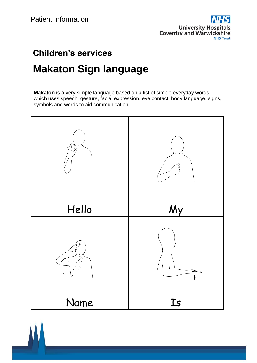

# **Children's services Makaton Sign language**

**Makaton** is a very simple language based on a list of simple everyday words, which uses speech, gesture, facial expression, eye contact, body language, signs, symbols and words to aid communication.



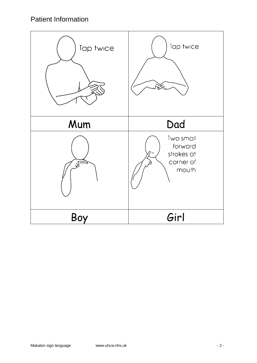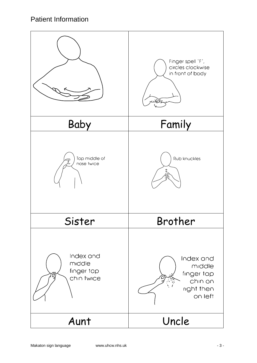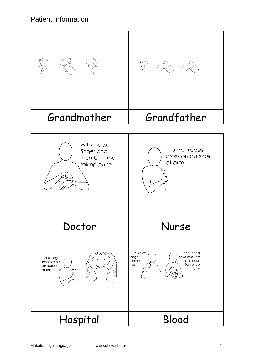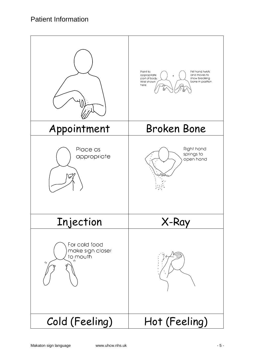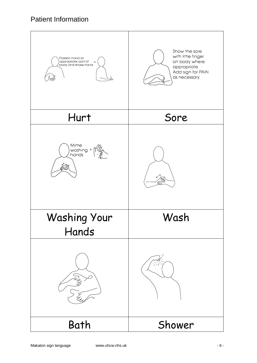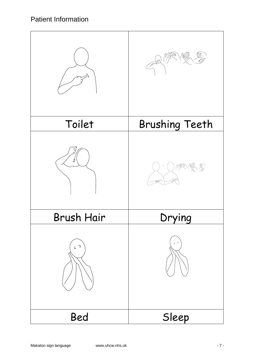|                   | $\frac{1}{e^{1.5}}$                                                                                                                                                                                                                                                                                                                                                                      |
|-------------------|------------------------------------------------------------------------------------------------------------------------------------------------------------------------------------------------------------------------------------------------------------------------------------------------------------------------------------------------------------------------------------------|
| Toilet            | <b>Brushing Teeth</b>                                                                                                                                                                                                                                                                                                                                                                    |
| ≵                 | $\begin{picture}(40,40) \put(0,0){\vector(0,1){30}} \put(15,0){\vector(0,1){30}} \put(15,0){\vector(0,1){30}} \put(15,0){\vector(0,1){30}} \put(15,0){\vector(0,1){30}} \put(15,0){\vector(0,1){30}} \put(15,0){\vector(0,1){30}} \put(15,0){\vector(0,1){30}} \put(15,0){\vector(0,1){30}} \put(15,0){\vector(0,1){30}} \put(15,0){\vector(0,1){30}} \put(15,0){\vector(0$<br>(* 7<br>B |
| <b>Brush Hair</b> | Drying                                                                                                                                                                                                                                                                                                                                                                                   |
| ว<br>ô            |                                                                                                                                                                                                                                                                                                                                                                                          |
| Bed               | Sleep                                                                                                                                                                                                                                                                                                                                                                                    |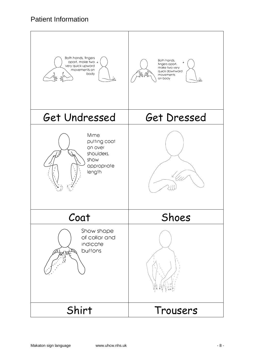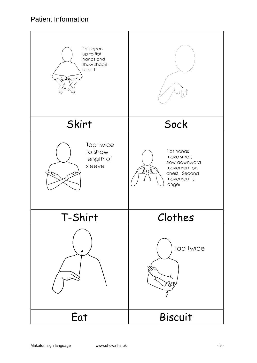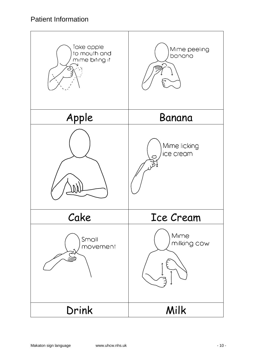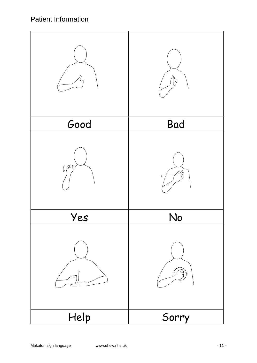|                  | $P_{\lambda}$ |
|------------------|---------------|
| Good             | <b>Bad</b>    |
| $\int \sqrt{d}u$ |               |
| Yes              | No            |
|                  | 3             |
| Help             | Sorry         |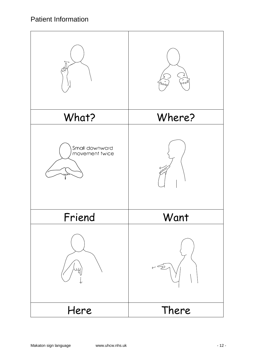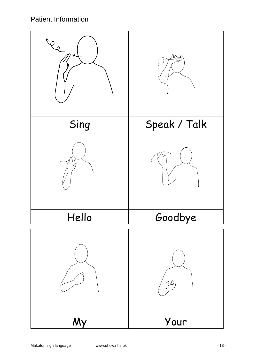| <b>Element</b> |              |
|----------------|--------------|
| Sing           | Speak / Talk |
|                |              |
| Hello          | Goodbye      |
|                | M            |
| My             | Your         |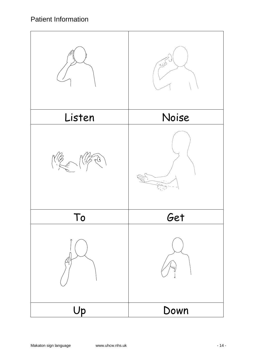![](_page_13_Picture_1.jpeg)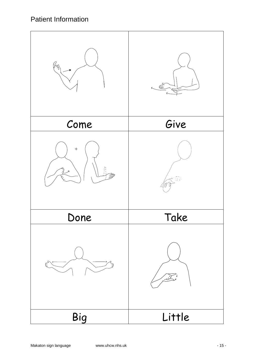![](_page_14_Picture_1.jpeg)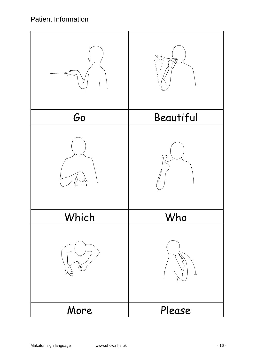| P              |           |
|----------------|-----------|
| Go             | Beautiful |
| $\overline{L}$ | $\varphi$ |
| Which          | Who       |
| E              |           |
| More           | Please    |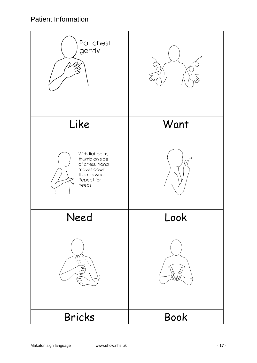![](_page_16_Picture_1.jpeg)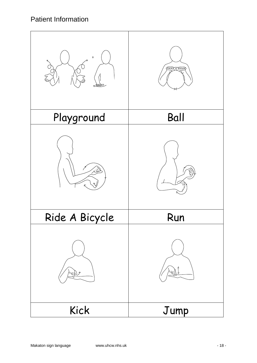![](_page_17_Picture_1.jpeg)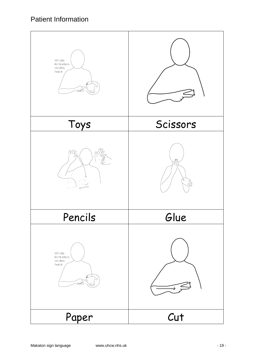| Whole<br>formation<br>circles<br>twice<br>.<br>طبی |               |
|----------------------------------------------------|---------------|
| Toys                                               | Scissors      |
| $\circ$                                            |               |
| Pencils                                            | Glue          |
| Whole<br>formation<br>circles<br>twice<br>کلعت     | $\rightarrow$ |
| Paper                                              | Cut           |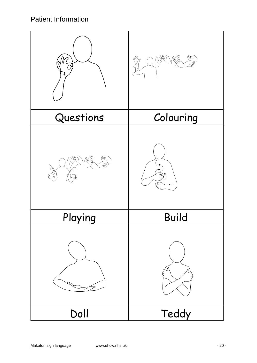|           | MW           |
|-----------|--------------|
| Questions | Colouring    |
|           |              |
| Playing   | <b>Build</b> |
|           |              |
| Doll      | Teddy        |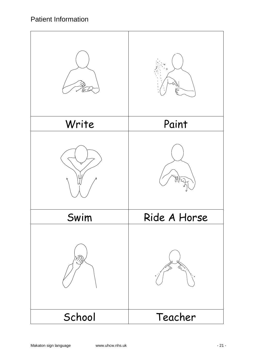| E      | $\rightarrow$<br>Þ |
|--------|--------------------|
| Write  | Paint              |
|        | Ħ                  |
| Swim   | Ride A Horse       |
|        |                    |
| School | Teacher            |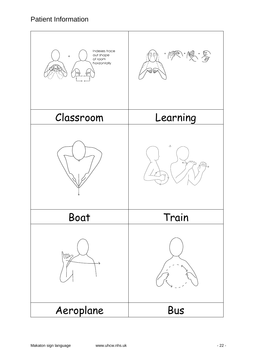![](_page_21_Picture_1.jpeg)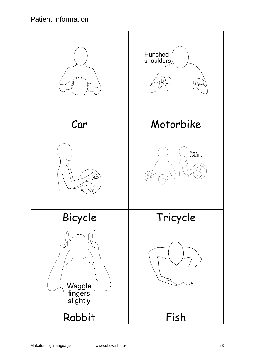|                                                          | Hunched<br>shoulders<br>$\overline{\mu}$<br><b>U</b><br>$\overline{\ast}$ |
|----------------------------------------------------------|---------------------------------------------------------------------------|
| Car                                                      | Motorbike                                                                 |
|                                                          | $\hspace{0.1mm} +$<br>Mime<br>pedalling                                   |
| Bicycle                                                  | Tricycle                                                                  |
| $\ell_\mathscr{E}$<br>Ŵ<br>Waggle<br>fingers<br>slightly |                                                                           |
| Rabbit                                                   | Fish                                                                      |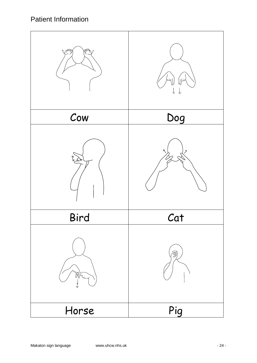![](_page_23_Picture_1.jpeg)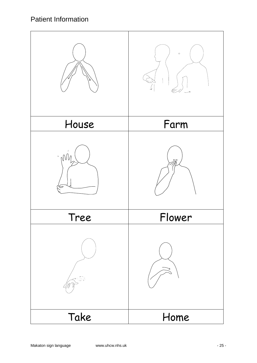| House           | Farm   |
|-----------------|--------|
| $\sim 100$<br>∍ | ヨ      |
| Tree            | Flower |
| ÇÑ              |        |
| Take            | Home   |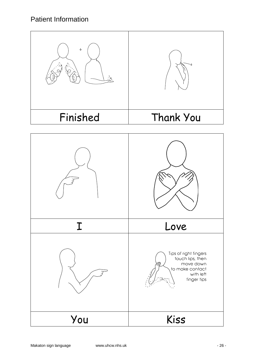| $+$<br>$\beta_{\rm N}$ |                                                                                                       |
|------------------------|-------------------------------------------------------------------------------------------------------|
| Finished               | Thank You                                                                                             |
|                        |                                                                                                       |
|                        |                                                                                                       |
|                        | Love                                                                                                  |
|                        | Tips of right fingers<br>touch lips, then<br>move down<br>to make contact<br>with left<br>finger tips |
| You                    | Kiss                                                                                                  |